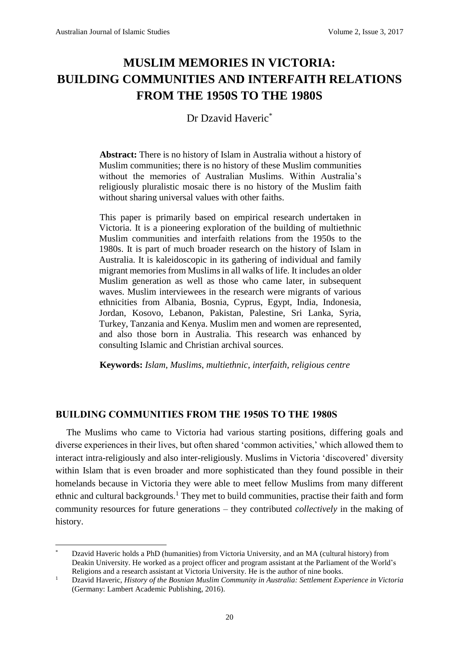# **MUSLIM MEMORIES IN VICTORIA: BUILDING COMMUNITIES AND INTERFAITH RELATIONS FROM THE 1950S TO THE 1980S**

# Dr Dzavid Haveric<sup>\*</sup>

**Abstract:** There is no history of Islam in Australia without a history of Muslim communities; there is no history of these Muslim communities without the memories of Australian Muslims. Within Australia's religiously pluralistic mosaic there is no history of the Muslim faith without sharing universal values with other faiths.

This paper is primarily based on empirical research undertaken in Victoria. It is a pioneering exploration of the building of multiethnic Muslim communities and interfaith relations from the 1950s to the 1980s. It is part of much broader research on the history of Islam in Australia. It is kaleidoscopic in its gathering of individual and family migrant memories from Muslims in all walks of life. It includes an older Muslim generation as well as those who came later, in subsequent waves. Muslim interviewees in the research were migrants of various ethnicities from Albania, Bosnia, Cyprus, Egypt, India, Indonesia, Jordan, Kosovo, Lebanon, Pakistan, Palestine, Sri Lanka, Syria, Turkey, Tanzania and Kenya. Muslim men and women are represented, and also those born in Australia. This research was enhanced by consulting Islamic and Christian archival sources.

**Keywords:** *Islam*, *Muslims*, *multiethnic*, *interfaith*, *religious centre*

## **BUILDING COMMUNITIES FROM THE 1950S TO THE 1980S**

The Muslims who came to Victoria had various starting positions, differing goals and diverse experiences in their lives, but often shared 'common activities,' which allowed them to interact intra-religiously and also inter-religiously. Muslims in Victoria 'discovered' diversity within Islam that is even broader and more sophisticated than they found possible in their homelands because in Victoria they were able to meet fellow Muslims from many different ethnic and cultural backgrounds.<sup>1</sup> They met to build communities, practise their faith and form community resources for future generations – they contributed *collectively* in the making of history.

**<sup>.</sup>** \* Dzavid Haveric holds a PhD (humanities) from Victoria University, and an MA (cultural history) from Deakin University. He worked as a project officer and program assistant at the Parliament of the World's Religions and a research assistant at Victoria University. He is the author of nine books.

<sup>1</sup> Dzavid Haveric, *History of the Bosnian Muslim Community in Australia: Settlement Experience in Victoria* (Germany: Lambert Academic Publishing, 2016).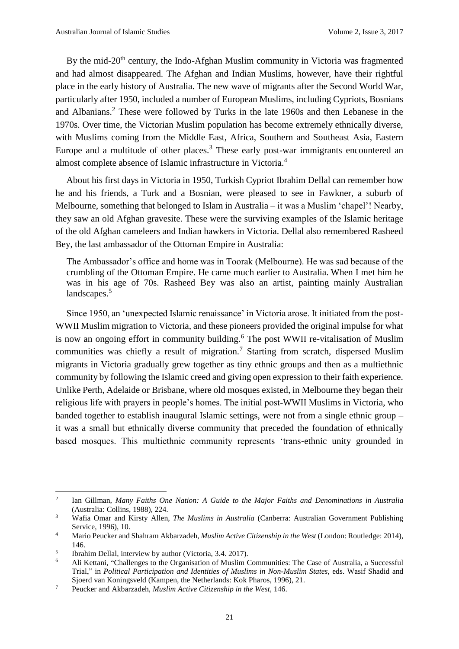By the mid-20<sup>th</sup> century, the Indo-Afghan Muslim community in Victoria was fragmented and had almost disappeared. The Afghan and Indian Muslims, however, have their rightful place in the early history of Australia. The new wave of migrants after the Second World War, particularly after 1950, included a number of European Muslims, including Cypriots, Bosnians and Albanians.<sup>2</sup> These were followed by Turks in the late 1960s and then Lebanese in the 1970s. Over time, the Victorian Muslim population has become extremely ethnically diverse, with Muslims coming from the Middle East, Africa, Southern and Southeast Asia, Eastern Europe and a multitude of other places.<sup>3</sup> These early post-war immigrants encountered an almost complete absence of Islamic infrastructure in Victoria.<sup>4</sup>

About his first days in Victoria in 1950, Turkish Cypriot Ibrahim Dellal can remember how he and his friends, a Turk and a Bosnian, were pleased to see in Fawkner, a suburb of Melbourne, something that belonged to Islam in Australia – it was a Muslim 'chapel'! Nearby, they saw an old Afghan gravesite. These were the surviving examples of the Islamic heritage of the old Afghan cameleers and Indian hawkers in Victoria. Dellal also remembered Rasheed Bey, the last ambassador of the Ottoman Empire in Australia:

The Ambassador's office and home was in Toorak (Melbourne). He was sad because of the crumbling of the Ottoman Empire. He came much earlier to Australia. When I met him he was in his age of 70s. Rasheed Bey was also an artist, painting mainly Australian landscapes.<sup>5</sup>

Since 1950, an 'unexpected Islamic renaissance' in Victoria arose. It initiated from the post-WWII Muslim migration to Victoria, and these pioneers provided the original impulse for what is now an ongoing effort in community building.<sup>6</sup> The post WWII re-vitalisation of Muslim communities was chiefly a result of migration.<sup>7</sup> Starting from scratch, dispersed Muslim migrants in Victoria gradually grew together as tiny ethnic groups and then as a multiethnic community by following the Islamic creed and giving open expression to their faith experience. Unlike Perth, Adelaide or Brisbane, where old mosques existed, in Melbourne they began their religious life with prayers in people's homes. The initial post-WWII Muslims in Victoria, who banded together to establish inaugural Islamic settings, were not from a single ethnic group – it was a small but ethnically diverse community that preceded the foundation of ethnically based mosques. This multiethnic community represents 'trans-ethnic unity grounded in

<sup>2</sup> Ian Gillman, *Many Faiths One Nation: A Guide to the Major Faiths and Denominations in Australia* (Australia: Collins, 1988), 224.

<sup>3</sup> Wafia Omar and Kirsty Allen, *The Muslims in Australia* (Canberra: Australian Government Publishing Service, 1996), 10.

<sup>4</sup> Mario Peucker and Shahram Akbarzadeh, *Muslim Active Citizenship in the West* (London: Routledge: 2014), 146.

<sup>5</sup> Ibrahim Dellal, interview by author (Victoria, 3.4. 2017).

<sup>6</sup> Ali Kettani, "Challenges to the Organisation of Muslim Communities: The Case of Australia, a Successful Trial," in *Political Participation and Identities of Muslims in Non-Muslim States*, eds. Wasif Shadid and Sjoerd van Koningsveld (Kampen, the Netherlands: Kok Pharos, 1996), 21.

<sup>7</sup> Peucker and Akbarzadeh, *Muslim Active Citizenship in the West*, 146.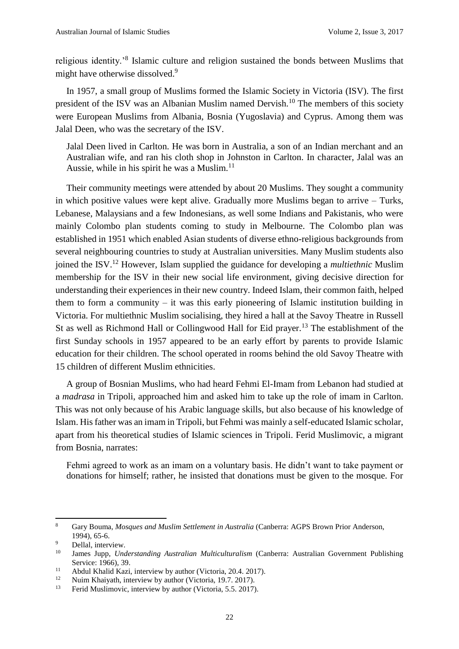religious identity.<sup>8</sup> Islamic culture and religion sustained the bonds between Muslims that might have otherwise dissolved.<sup>9</sup>

In 1957, a small group of Muslims formed the Islamic Society in Victoria (ISV). The first president of the ISV was an Albanian Muslim named Dervish.<sup>10</sup> The members of this society were European Muslims from Albania, Bosnia (Yugoslavia) and Cyprus. Among them was Jalal Deen, who was the secretary of the ISV.

Jalal Deen lived in Carlton. He was born in Australia, a son of an Indian merchant and an Australian wife, and ran his cloth shop in Johnston in Carlton. In character, Jalal was an Aussie, while in his spirit he was a Muslim. $^{11}$ 

Their community meetings were attended by about 20 Muslims. They sought a community in which positive values were kept alive. Gradually more Muslims began to arrive – Turks, Lebanese, Malaysians and a few Indonesians, as well some Indians and Pakistanis, who were mainly Colombo plan students coming to study in Melbourne. The Colombo plan was established in 1951 which enabled Asian students of diverse ethno-religious backgrounds from several neighbouring countries to study at Australian universities. Many Muslim students also joined the ISV.<sup>12</sup> However, Islam supplied the guidance for developing a *multiethnic* Muslim membership for the ISV in their new social life environment, giving decisive direction for understanding their experiences in their new country. Indeed Islam, their common faith, helped them to form a community – it was this early pioneering of Islamic institution building in Victoria. For multiethnic Muslim socialising, they hired a hall at the Savoy Theatre in Russell St as well as Richmond Hall or Collingwood Hall for Eid prayer.<sup>13</sup> The establishment of the first Sunday schools in 1957 appeared to be an early effort by parents to provide Islamic education for their children. The school operated in rooms behind the old Savoy Theatre with 15 children of different Muslim ethnicities.

A group of Bosnian Muslims, who had heard Fehmi El-Imam from Lebanon had studied at a *madrasa* in Tripoli, approached him and asked him to take up the role of imam in Carlton. This was not only because of his Arabic language skills, but also because of his knowledge of Islam. His father was an imam in Tripoli, but Fehmi was mainly a self-educated Islamic scholar, apart from his theoretical studies of Islamic sciences in Tripoli. Ferid Muslimovic, a migrant from Bosnia, narrates:

Fehmi agreed to work as an imam on a voluntary basis. He didn't want to take payment or donations for himself; rather, he insisted that donations must be given to the mosque. For

<sup>8</sup> Gary Bouma, *Mosques and Muslim Settlement in Australia* (Canberra: AGPS Brown Prior Anderson, 1994), 65-6.

 $\frac{9}{10}$  Dellal, interview.

<sup>10</sup> James Jupp, *Understanding Australian Multiculturalism* (Canberra: Australian Government Publishing Service: 1966), 39.

<sup>&</sup>lt;sup>11</sup> Abdul Khalid Kazi, interview by author (Victoria, 20.4. 2017).<br><sup>12</sup> Nuim Khaivath, interview by author (Victoria, 10.7. 2017).

Nuim Khaiyath, interview by author (Victoria, 19.7. 2017).

<sup>&</sup>lt;sup>13</sup> Ferid Muslimovic, interview by author (Victoria, 5.5. 2017).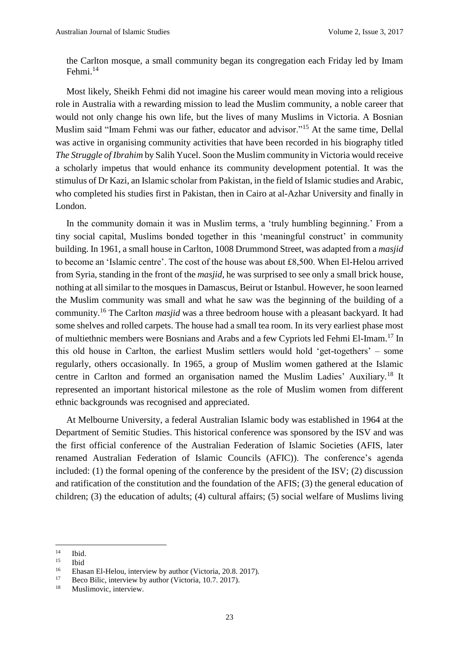the Carlton mosque, a small community began its congregation each Friday led by Imam Fehmi.<sup>14</sup>

Most likely, Sheikh Fehmi did not imagine his career would mean moving into a religious role in Australia with a rewarding mission to lead the Muslim community, a noble career that would not only change his own life, but the lives of many Muslims in Victoria. A Bosnian Muslim said "Imam Fehmi was our father, educator and advisor."<sup>15</sup> At the same time, Dellal was active in organising community activities that have been recorded in his biography titled *The Struggle of Ibrahim* by Salih Yucel. Soon the Muslim community in Victoria would receive a scholarly impetus that would enhance its community development potential. It was the stimulus of Dr Kazi, an Islamic scholar from Pakistan, in the field of Islamic studies and Arabic, who completed his studies first in Pakistan, then in Cairo at al-Azhar University and finally in London.

In the community domain it was in Muslim terms, a 'truly humbling beginning.' From a tiny social capital, Muslims bonded together in this 'meaningful construct' in community building. In 1961, a small house in Carlton, 1008 Drummond Street, was adapted from a *masjid* to become an 'Islamic centre'. The cost of the house was about £8,500. When El-Helou arrived from Syria, standing in the front of the *masjid*, he was surprised to see only a small brick house, nothing at all similar to the mosques in Damascus, Beirut or Istanbul. However, he soon learned the Muslim community was small and what he saw was the beginning of the building of a community.<sup>16</sup> The Carlton *masjid* was a three bedroom house with a pleasant backyard. It had some shelves and rolled carpets. The house had a small tea room. In its very earliest phase most of multiethnic members were Bosnians and Arabs and a few Cypriots led Fehmi El-Imam.<sup>17</sup> In this old house in Carlton, the earliest Muslim settlers would hold 'get-togethers' – some regularly, others occasionally. In 1965, a group of Muslim women gathered at the Islamic centre in Carlton and formed an organisation named the Muslim Ladies' Auxiliary*.* <sup>18</sup> It represented an important historical milestone as the role of Muslim women from different ethnic backgrounds was recognised and appreciated.

At Melbourne University, a federal Australian Islamic body was established in 1964 at the Department of Semitic Studies. This historical conference was sponsored by the ISV and was the first official conference of the Australian Federation of Islamic Societies (AFIS, later renamed Australian Federation of Islamic Councils (AFIC)). The conference's agenda included: (1) the formal opening of the conference by the president of the ISV; (2) discussion and ratification of the constitution and the foundation of the AFIS; (3) the general education of children; (3) the education of adults; (4) cultural affairs; (5) social welfare of Muslims living

 $14$  $\frac{14}{15}$  Ibid.

 $\frac{15}{16}$  Ibid

<sup>&</sup>lt;sup>16</sup> Ehasan El-Helou, interview by author (Victoria, 20.8. 2017).<br><sup>17</sup> Pese Pilie, interview by exther (Victoria, 10.7. 2017).

Beco Bilic, interview by author (Victoria, 10.7. 2017).

<sup>&</sup>lt;sup>18</sup> Muslimovic, interview.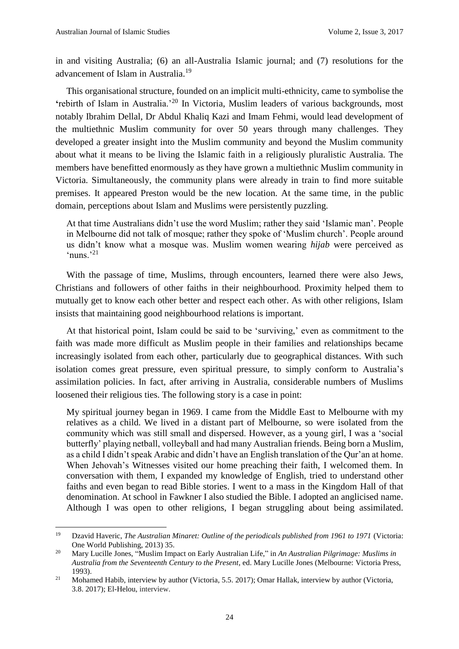**.** 

in and visiting Australia; (6) an all-Australia Islamic journal; and (7) resolutions for the advancement of Islam in Australia.<sup>19</sup>

This organisational structure, founded on an implicit multi-ethnicity, came to symbolise the **'**rebirth of Islam in Australia.'<sup>20</sup> In Victoria, Muslim leaders of various backgrounds, most notably Ibrahim Dellal, Dr Abdul Khaliq Kazi and Imam Fehmi, would lead development of the multiethnic Muslim community for over 50 years through many challenges. They developed a greater insight into the Muslim community and beyond the Muslim community about what it means to be living the Islamic faith in a religiously pluralistic Australia. The members have benefitted enormously as they have grown a multiethnic Muslim community in Victoria. Simultaneously, the community plans were already in train to find more suitable premises. It appeared Preston would be the new location. At the same time, in the public domain, perceptions about Islam and Muslims were persistently puzzling.

At that time Australians didn't use the word Muslim; rather they said 'Islamic man'. People in Melbourne did not talk of mosque; rather they spoke of 'Muslim church'. People around us didn't know what a mosque was. Muslim women wearing *hijab* were perceived as 'nuns.'<sup>21</sup>

With the passage of time, Muslims, through encounters, learned there were also Jews, Christians and followers of other faiths in their neighbourhood. Proximity helped them to mutually get to know each other better and respect each other. As with other religions, Islam insists that maintaining good neighbourhood relations is important.

At that historical point, Islam could be said to be 'surviving,' even as commitment to the faith was made more difficult as Muslim people in their families and relationships became increasingly isolated from each other, particularly due to geographical distances. With such isolation comes great pressure, even spiritual pressure, to simply conform to Australia's assimilation policies. In fact, after arriving in Australia, considerable numbers of Muslims loosened their religious ties. The following story is a case in point:

My spiritual journey began in 1969. I came from the Middle East to Melbourne with my relatives as a child. We lived in a distant part of Melbourne, so were isolated from the community which was still small and dispersed. However, as a young girl, I was a 'social butterfly' playing netball, volleyball and had many Australian friends. Being born a Muslim, as a child I didn't speak Arabic and didn't have an English translation of the Qur'an at home. When Jehovah's Witnesses visited our home preaching their faith, I welcomed them. In conversation with them, I expanded my knowledge of English, tried to understand other faiths and even began to read Bible stories. I went to a mass in the Kingdom Hall of that denomination. At school in Fawkner I also studied the Bible. I adopted an anglicised name. Although I was open to other religions, I began struggling about being assimilated.

<sup>19</sup> Dzavid Haveric, *The Australian Minaret: Outline of the periodicals published from 1961 to 1971* (Victoria: One World Publishing, 2013) 35.

<sup>20</sup> Mary Lucille Jones, "Muslim Impact on Early Australian Life," in *An Australian Pilgrimage: Muslims in Australia from the Seventeenth Century to the Present*, ed. Mary Lucille Jones (Melbourne: Victoria Press, 1993).

<sup>&</sup>lt;sup>21</sup> Mohamed Habib, interview by author (Victoria, 5.5. 2017); Omar Hallak, interview by author (Victoria, 3.8. 2017); El-Helou, interview.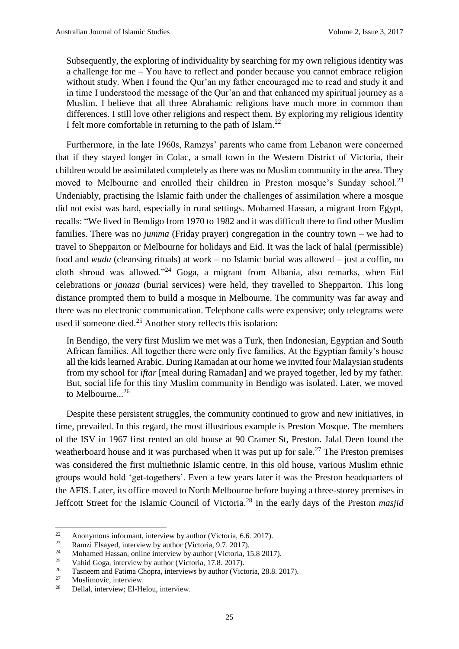Subsequently, the exploring of individuality by searching for my own religious identity was a challenge for me – You have to reflect and ponder because you cannot embrace religion without study. When I found the Qur'an my father encouraged me to read and study it and in time I understood the message of the Qur'an and that enhanced my spiritual journey as a Muslim. I believe that all three Abrahamic religions have much more in common than differences. I still love other religions and respect them. By exploring my religious identity I felt more comfortable in returning to the path of Islam.<sup>22</sup>

Furthermore, in the late 1960s, Ramzys' parents who came from Lebanon were concerned that if they stayed longer in Colac, a small town in the Western District of Victoria, their children would be assimilated completely as there was no Muslim community in the area. They moved to Melbourne and enrolled their children in Preston mosque's Sunday school.<sup>23</sup> Undeniably, practising the Islamic faith under the challenges of assimilation where a mosque did not exist was hard, especially in rural settings. Mohamed Hassan, a migrant from Egypt, recalls: "We lived in Bendigo from 1970 to 1982 and it was difficult there to find other Muslim families. There was no *jumma* (Friday prayer) congregation in the country town – we had to travel to Shepparton or Melbourne for holidays and Eid. It was the lack of halal (permissible) food and *wudu* (cleansing rituals) at work – no Islamic burial was allowed – just a coffin, no cloth shroud was allowed."<sup>24</sup> Goga, a migrant from Albania, also remarks, when Eid celebrations or *janaza* (burial services) were held, they travelled to Shepparton. This long distance prompted them to build a mosque in Melbourne. The community was far away and there was no electronic communication. Telephone calls were expensive; only telegrams were used if someone died.<sup>25</sup> Another story reflects this isolation:

In Bendigo, the very first Muslim we met was a Turk, then Indonesian, Egyptian and South African families. All together there were only five families. At the Egyptian family's house all the kids learned Arabic. During Ramadan at our home we invited four Malaysian students from my school for *iftar* [meal during Ramadan] and we prayed together, led by my father. But, social life for this tiny Muslim community in Bendigo was isolated. Later, we moved to Melbourne.<sup>26</sup>

Despite these persistent struggles, the community continued to grow and new initiatives, in time, prevailed. In this regard, the most illustrious example is Preston Mosque. The members of the ISV in 1967 first rented an old house at 90 Cramer St, Preston. Jalal Deen found the weatherboard house and it was purchased when it was put up for sale.<sup>27</sup> The Preston premises was considered the first multiethnic Islamic centre. In this old house, various Muslim ethnic groups would hold 'get-togethers'. Even a few years later it was the Preston headquarters of the AFIS. Later, its office moved to North Melbourne before buying a three-storey premises in Jeffcott Street for the Islamic Council of Victoria. <sup>28</sup> In the early days of the Preston *masjid*

 $22\,$ 22 Anonymous informant, interview by author (Victoria, 6.6. 2017).<br>  $\frac{23}{2}$  Pamzi Elseved, interview by eyther (Victoria, 0.7, 2017).

 $\frac{23}{24}$  Ramzi Elsayed, interview by author (Victoria, 9.7. 2017).

<sup>24</sup> Mohamed Hassan, online interview by author (Victoria, 15.8 2017).

<sup>&</sup>lt;sup>25</sup> Vahid Goga, interview by author (Victoria, 17.8. 2017).<br><sup>26</sup> Esseggen and Estima Change interviews by outhor (Victoria)

<sup>&</sup>lt;sup>26</sup> Tasneem and Fatima Chopra, interviews by author (Victoria, 28.8. 2017).<br>Muslimovie interview

Muslimovic, interview.

<sup>28</sup> Dellal, interview; El-Helou, interview.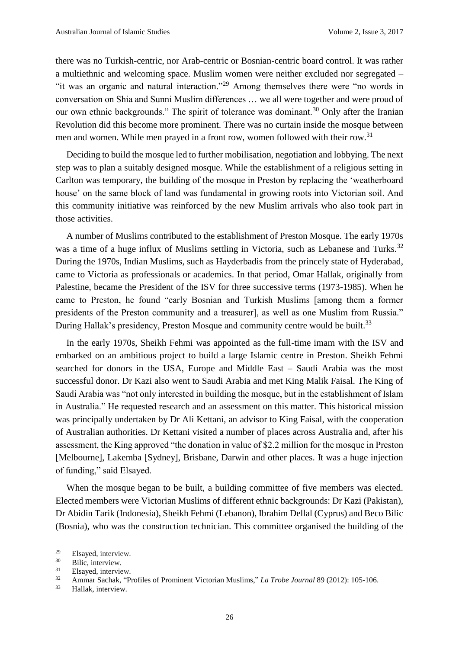there was no Turkish-centric, nor Arab-centric or Bosnian-centric board control. It was rather a multiethnic and welcoming space. Muslim women were neither excluded nor segregated – "it was an organic and natural interaction."<sup>29</sup> Among themselves there were "no words in conversation on Shia and Sunni Muslim differences … we all were together and were proud of our own ethnic backgrounds." The spirit of tolerance was dominant.<sup>30</sup> Only after the Iranian Revolution did this become more prominent. There was no curtain inside the mosque between men and women. While men prayed in a front row, women followed with their row.<sup>31</sup>

Deciding to build the mosque led to further mobilisation, negotiation and lobbying. The next step was to plan a suitably designed mosque. While the establishment of a religious setting in Carlton was temporary, the building of the mosque in Preston by replacing the 'weatherboard house' on the same block of land was fundamental in growing roots into Victorian soil. And this community initiative was reinforced by the new Muslim arrivals who also took part in those activities.

A number of Muslims contributed to the establishment of Preston Mosque. The early 1970s was a time of a huge influx of Muslims settling in Victoria, such as Lebanese and Turks.<sup>32</sup> During the 1970s, Indian Muslims, such as Hayderbadis from the [princely state of Hyderabad,](https://en.wikipedia.org/wiki/Hyderabad_State) came to Victoria as professionals or academics. In that period, Omar Hallak, originally from Palestine, became the President of the ISV for three successive terms (1973-1985). When he came to Preston, he found "early Bosnian and Turkish Muslims [among them a former presidents of the Preston community and a treasurer], as well as one Muslim from Russia." During Hallak's presidency, Preston Mosque and community centre would be built.<sup>33</sup>

In the early 1970s, Sheikh Fehmi was appointed as the full-time imam with the ISV and embarked on an ambitious project to build a large Islamic centre in Preston. Sheikh Fehmi searched for donors in the USA, Europe and Middle East – Saudi Arabia was the most successful donor. Dr Kazi also went to Saudi Arabia and met King Malik Faisal. The King of Saudi Arabia was "not only interested in building the mosque, but in the establishment of Islam in Australia." He requested research and an assessment on this matter. This historical mission was principally undertaken by Dr Ali Kettani, an advisor to King Faisal, with the cooperation of Australian authorities. Dr Kettani visited a number of places across Australia and, after his assessment, the King approved "the donation in value of \$2.2 million for the mosque in Preston [Melbourne], Lakemba [Sydney], Brisbane, Darwin and other places. It was a huge injection of funding," said Elsayed.

When the mosque began to be built, a building committee of five members was elected. Elected members were Victorian Muslims of different ethnic backgrounds: Dr Kazi (Pakistan), Dr Abidin Tarik (Indonesia), Sheikh Fehmi (Lebanon), Ibrahim Dellal (Cyprus) and Beco Bilic (Bosnia), who was the construction technician. This committee organised the building of the

 $^{29}$  Elsayed, interview.

 $30$  Bilic, interview.

Elsayed, interview.

<sup>32</sup> Ammar Sachak, "Profiles of Prominent Victorian Muslims," *La Trobe Journal* 89 (2012): 105-106.

<sup>33</sup> Hallak, interview.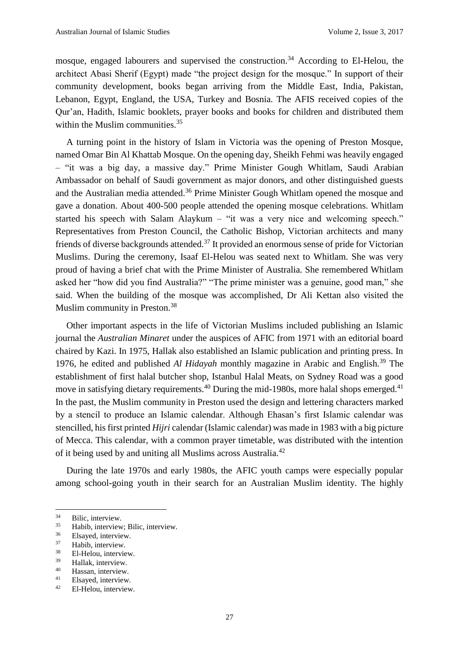mosque, engaged labourers and supervised the construction.<sup>34</sup> According to El-Helou, the architect Abasi Sherif (Egypt) made "the project design for the mosque." In support of their community development, books began arriving from the Middle East, India, Pakistan, Lebanon, Egypt, England, the USA, Turkey and Bosnia. The AFIS received copies of the Qur'an, Hadith, Islamic booklets, prayer books and books for children and distributed them within the Muslim communities. 35

A turning point in the history of Islam in Victoria was the opening of Preston Mosque, named Omar Bin Al Khattab Mosque. On the opening day, Sheikh Fehmi was heavily engaged – "it was a big day, a massive day." Prime Minister Gough Whitlam, Saudi Arabian Ambassador on behalf of Saudi government as major donors, and other distinguished guests and the Australian media attended.<sup>36</sup> Prime Minister Gough Whitlam opened the mosque and gave a donation. About 400-500 people attended the opening mosque celebrations. Whitlam started his speech with Salam Alaykum – "it was a very nice and welcoming speech." Representatives from Preston Council, the Catholic Bishop, Victorian architects and many friends of diverse backgrounds attended.<sup>37</sup> It provided an enormous sense of pride for Victorian Muslims. During the ceremony, Isaaf El-Helou was seated next to Whitlam. She was very proud of having a brief chat with the Prime Minister of Australia. She remembered Whitlam asked her "how did you find Australia?" "The prime minister was a genuine, good man," she said. When the building of the mosque was accomplished, Dr Ali Kettan also visited the Muslim community in Preston.<sup>38</sup>

Other important aspects in the life of Victorian Muslims included publishing an Islamic journal the *Australian Minaret* under the auspices of AFIC from 1971 with an editorial board chaired by Kazi. In 1975, Hallak also established an Islamic publication and printing press. In 1976, he edited and published *Al Hidayah* monthly magazine in Arabic and English.<sup>39</sup> The establishment of first halal butcher shop, Istanbul Halal Meats, on Sydney Road was a good move in satisfying dietary requirements.<sup>40</sup> During the mid-1980s, more halal shops emerged.<sup>41</sup> In the past, the Muslim community in Preston used the design and lettering characters marked by a stencil to produce an Islamic calendar. Although Ehasan's first Islamic calendar was stencilled, his first printed *Hijri* calendar (Islamic calendar) was made in 1983 with a big picture of Mecca. This calendar, with a common prayer timetable, was distributed with the intention of it being used by and uniting all Muslims across Australia.<sup>42</sup>

During the late 1970s and early 1980s, the AFIC youth camps were especially popular among school-going youth in their search for an Australian Muslim identity. The highly

 $\overline{a}$ 

 $^{40}$  Hassan, interview.

 $34$  Bilic, interview.

 $\frac{35}{36}$  Habib, interview; Bilic, interview.

 $rac{36}{37}$  Elsayed, interview.

 $37$  Habib, interview.<br> $38$  El Holou interview.

 $^{38}$  El-Helou, interview.

 $\frac{39}{40}$  Hallak, interview.

Elsayed, interview.

<sup>42</sup> El-Helou, interview.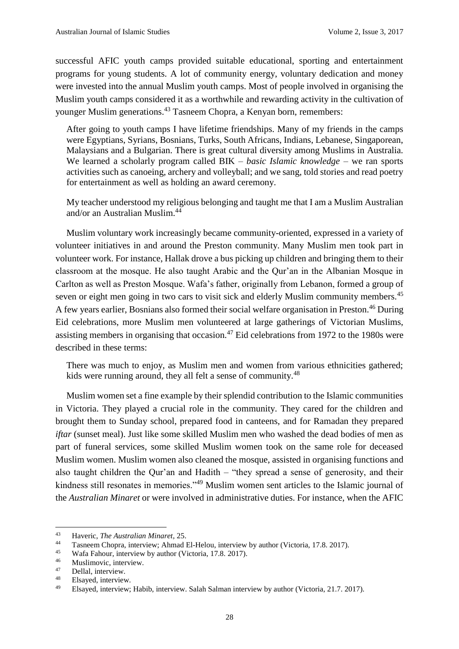successful AFIC youth camps provided suitable educational, sporting and entertainment programs for young students. A lot of community energy, voluntary dedication and money were invested into the annual Muslim youth camps. Most of people involved in organising the Muslim youth camps considered it as a worthwhile and rewarding activity in the cultivation of younger Muslim generations.<sup>43</sup> Tasneem Chopra, a Kenyan born, remembers:

After going to youth camps I have lifetime friendships. Many of my friends in the camps were Egyptians, Syrians, Bosnians, Turks, South Africans, Indians, Lebanese, Singaporean, Malaysians and a Bulgarian. There is great cultural diversity among Muslims in Australia. We learned a scholarly program called BIK – *basic Islamic knowledge* – we ran sports activities such as canoeing, archery and volleyball; and we sang, told stories and read poetry for entertainment as well as holding an award ceremony.

My teacher understood my religious belonging and taught me that I am a Muslim Australian and/or an Australian Muslim.<sup>44</sup>

Muslim voluntary work increasingly became community-oriented, expressed in a variety of volunteer initiatives in and around the Preston community. Many Muslim men took part in volunteer work. For instance, Hallak drove a bus picking up children and bringing them to their classroom at the mosque. He also taught Arabic and the Qur'an in the Albanian Mosque in Carlton as well as Preston Mosque. Wafa's father, originally from Lebanon, formed a group of seven or eight men going in two cars to visit sick and elderly Muslim community members.<sup>45</sup> A few years earlier, Bosnians also formed their social welfare organisation in Preston.<sup>46</sup> During Eid celebrations, more Muslim men volunteered at large gatherings of Victorian Muslims, assisting members in organising that occasion.<sup>47</sup> Eid celebrations from 1972 to the 1980s were described in these terms:

There was much to enjoy, as Muslim men and women from various ethnicities gathered; kids were running around, they all felt a sense of community.<sup>48</sup>

Muslim women set a fine example by their splendid contribution to the Islamic communities in Victoria. They played a crucial role in the community. They cared for the children and brought them to Sunday school, prepared food in canteens, and for Ramadan they prepared *iftar* (sunset meal). Just like some skilled Muslim men who washed the dead bodies of men as part of funeral services, some skilled Muslim women took on the same role for deceased Muslim women. Muslim women also cleaned the mosque, assisted in organising functions and also taught children the Qur'an and Hadith – "they spread a sense of generosity, and their kindness still resonates in memories."<sup>49</sup> Muslim women sent articles to the Islamic journal of the *Australian Minaret* or were involved in administrative duties. For instance, when the AFIC

<sup>43</sup> Haveric, *The Australian Minaret*, 25.

<sup>44</sup> Tasneem Chopra, interview; Ahmad El-Helou, interview by author (Victoria, 17.8. 2017).<br>45 Wafa Fabour, interview by author (Victoria, 17.8. 2017).

<sup>45</sup> Wafa Fahour, interview by author (Victoria, 17.8. 2017).

 $^{46}$  Muslimovic, interview.

 $^{47}$  Dellal, interview.

Elsayed, interview.

<sup>49</sup> Elsayed, interview; Habib, interview. Salah Salman interview by author (Victoria, 21.7. 2017).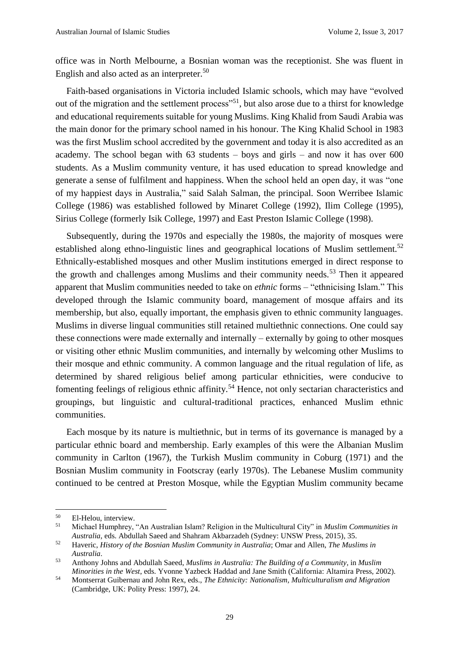office was in North Melbourne, a Bosnian woman was the receptionist. She was fluent in English and also acted as an interpreter.<sup>50</sup>

Faith-based organisations in Victoria included Islamic schools, which may have "evolved out of the migration and the settlement process"<sup>51</sup>, but also arose due to a thirst for knowledge and educational requirements suitable for young Muslims. King Khalid from Saudi Arabia was the main donor for the primary school named in his honour. The King Khalid School in 1983 was the first Muslim school accredited by the government and today it is also accredited as an academy. The school began with 63 students – boys and girls – and now it has over 600 students. As a Muslim community venture, it has used education to spread knowledge and generate a sense of fulfilment and happiness. When the school held an open day, it was "one of my happiest days in Australia," said Salah Salman, the principal. Soon Werribee Islamic College (1986) was established followed by Minaret College (1992), Ilim College (1995), Sirius College (formerly Isik College, 1997) and East Preston Islamic College (1998).

Subsequently, during the 1970s and especially the 1980s, the majority of mosques were established along ethno-linguistic lines and geographical locations of Muslim settlement.<sup>52</sup> Ethnically-established mosques and other Muslim institutions emerged in direct response to the growth and challenges among Muslims and their community needs.<sup>53</sup> Then it appeared apparent that Muslim communities needed to take on *ethnic* forms – "ethnicising Islam." This developed through the Islamic community board, management of mosque affairs and its membership, but also, equally important, the emphasis given to ethnic community languages. Muslims in diverse lingual communities still retained multiethnic connections. One could say these connections were made externally and internally – externally by going to other mosques or visiting other ethnic Muslim communities, and internally by welcoming other Muslims to their mosque and ethnic community. A common language and the ritual regulation of life, as determined by shared religious belief among particular ethnicities, were conducive to fomenting feelings of religious ethnic affinity.<sup>54</sup> Hence, not only sectarian characteristics and groupings, but linguistic and cultural-traditional practices, enhanced Muslim ethnic communities.

Each mosque by its nature is multiethnic, but in terms of its governance is managed by a particular ethnic board and membership. Early examples of this were the Albanian Muslim community in Carlton (1967), the Turkish Muslim community in Coburg (1971) and the Bosnian Muslim community in Footscray (early 1970s). The Lebanese Muslim community continued to be centred at Preston Mosque, while the Egyptian Muslim community became

 $\overline{a}$ 

 $50$  El-Helou, interview.

<sup>51</sup> Michael Humphrey, "An Australian Islam? Religion in the Multicultural City" in *Muslim Communities in Australia*, eds. Abdullah Saeed and Shahram Akbarzadeh (Sydney: UNSW Press, 2015), 35.

<sup>52</sup> Haveric, *History of the Bosnian Muslim Community in Australia*; Omar and Allen, *The Muslims in Australia*.

<sup>53</sup> Anthony Johns and Abdullah Saeed, *Muslims in Australia: The Building of a Community*, in *Muslim Minorities in the West*, eds. Yvonne Yazbeck Haddad and Jane Smith (California: Altamira Press, 2002).

<sup>54</sup> Montserrat Guibernau and John Rex, eds., *The Ethnicity: Nationalism, Multiculturalism and Migration* (Cambridge, UK: Polity Press: 1997), 24.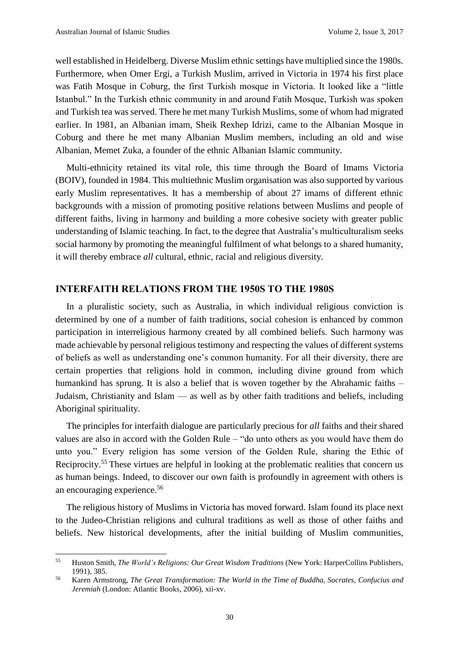**.** 

well established in Heidelberg. Diverse Muslim ethnic settings have multiplied since the 1980s. Furthermore, when Omer Ergi, a Turkish Muslim, arrived in Victoria in 1974 his first place was Fatih Mosque in Coburg, the first Turkish mosque in Victoria. It looked like a "little Istanbul." In the Turkish ethnic community in and around Fatih Mosque, Turkish was spoken and Turkish tea was served. There he met many Turkish Muslims, some of whom had migrated earlier. In 1981, an Albanian imam, Sheik Rexhep Idrizi, came to the Albanian Mosque in Coburg and there he met many Albanian Muslim members, including an old and wise Albanian, Memet Zuka, a founder of the ethnic Albanian Islamic community.

Multi-ethnicity retained its vital role, this time through the Board of Imams Victoria (BOIV), founded in 1984. This multiethnic Muslim organisation was also supported by various early Muslim representatives. It has a membership of about 27 imams of different ethnic backgrounds with a mission of promoting positive relations between Muslims and people of different faiths, living in harmony and building a more cohesive society with greater public understanding of Islamic teaching. In fact, to the degree that Australia's multiculturalism seeks social harmony by promoting the meaningful fulfilment of what belongs to a shared humanity, it will thereby embrace *all* cultural, ethnic, racial and religious diversity.

#### **INTERFAITH RELATIONS FROM THE 1950S TO THE 1980S**

In a pluralistic society, such as Australia, in which individual religious conviction is determined by one of a number of faith traditions, social cohesion is enhanced by common participation in interreligious harmony created by all combined beliefs. Such harmony was made achievable by personal religious testimony and respecting the values of different systems of beliefs as well as understanding one's common humanity. For all their diversity, there are certain properties that religions hold in common, including divine ground from which humankind has sprung. It is also a belief that is woven together by the Abrahamic faiths – Judaism, Christianity and Islam –– as well as by other faith traditions and beliefs, including Aboriginal spirituality.

The principles for interfaith dialogue are particularly precious for *all* faiths and their shared values are also in accord with the Golden Rule – "do unto others as you would have them do unto you." Every religion has some version of the Golden Rule, sharing the Ethic of Reciprocity.<sup>55</sup> These virtues are helpful in looking at the problematic realities that concern us as human beings. Indeed, to discover our own faith is profoundly in agreement with others is an encouraging experience.<sup>56</sup>

The religious history of Muslims in Victoria has moved forward. Islam found its place next to the Judeo-Christian religions and cultural traditions as well as those of other faiths and beliefs. New historical developments, after the initial building of Muslim communities,

<sup>55</sup> Huston Smith, *The World's Religions: Our Great Wisdom Traditions* (New York: HarperCollins Publishers, 1991), 385.

<sup>56</sup> Karen Armstrong, *The Great Transformation: The World in the Time of Buddha, Socrates, Confucius and Jeremiah* (London: Atlantic Books, 2006), xii-xv.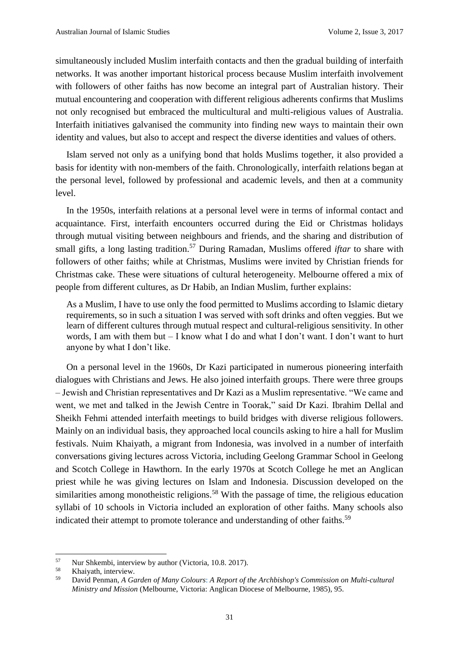simultaneously included Muslim interfaith contacts and then the gradual building of interfaith networks. It was another important historical process because Muslim interfaith involvement with followers of other faiths has now become an integral part of Australian history. Their mutual encountering and cooperation with different religious adherents confirms that Muslims not only recognised but embraced the multicultural and multi-religious values of Australia. Interfaith initiatives galvanised the community into finding new ways to maintain their own identity and values, but also to accept and respect the diverse identities and values of others.

Islam served not only as a unifying bond that holds Muslims together, it also provided a basis for identity with non-members of the faith. Chronologically, interfaith relations began at the personal level, followed by professional and academic levels, and then at a community level.

In the 1950s, interfaith relations at a personal level were in terms of informal contact and acquaintance. First, interfaith encounters occurred during the Eid or Christmas holidays through mutual visiting between neighbours and friends, and the sharing and distribution of small gifts, a long lasting tradition.<sup>57</sup> During Ramadan, Muslims offered *iftar* to share with followers of other faiths; while at Christmas, Muslims were invited by Christian friends for Christmas cake. These were situations of cultural heterogeneity. Melbourne offered a mix of people from different cultures, as Dr Habib, an Indian Muslim, further explains:

As a Muslim, I have to use only the food permitted to Muslims according to Islamic dietary requirements, so in such a situation I was served with soft drinks and often veggies. But we learn of different cultures through mutual respect and cultural-religious sensitivity. In other words, I am with them but  $-$  I know what I do and what I don't want. I don't want to hurt anyone by what I don't like.

On a personal level in the 1960s, Dr Kazi participated in numerous pioneering interfaith dialogues with Christians and Jews. He also joined interfaith groups. There were three groups – Jewish and Christian representatives and Dr Kazi as a Muslim representative. "We came and went, we met and talked in the Jewish Centre in Toorak," said Dr Kazi. Ibrahim Dellal and Sheikh Fehmi attended interfaith meetings to build bridges with diverse religious followers. Mainly on an individual basis, they approached local councils asking to hire a hall for Muslim festivals. Nuim Khaiyath, a migrant from Indonesia, was involved in a number of interfaith conversations giving lectures across Victoria, including Geelong Grammar School in Geelong and Scotch College in Hawthorn. In the early 1970s at Scotch College he met an Anglican priest while he was giving lectures on Islam and Indonesia. Discussion developed on the similarities among monotheistic religions.<sup>58</sup> With the passage of time, the religious education syllabi of 10 schools in Victoria included an exploration of other faiths. Many schools also indicated their attempt to promote tolerance and understanding of other faiths.<sup>59</sup>

<sup>57</sup>  $57$  Nur Shkembi, interview by author (Victoria, 10.8. 2017).

Khaiyath, interview.

<sup>59</sup> David Penman, *A Garden of Many Colours*: *A Report of the Archbishop's Commission on Multi-cultural Ministry and Mission* (Melbourne, Victoria: Anglican Diocese of Melbourne, 1985), 95.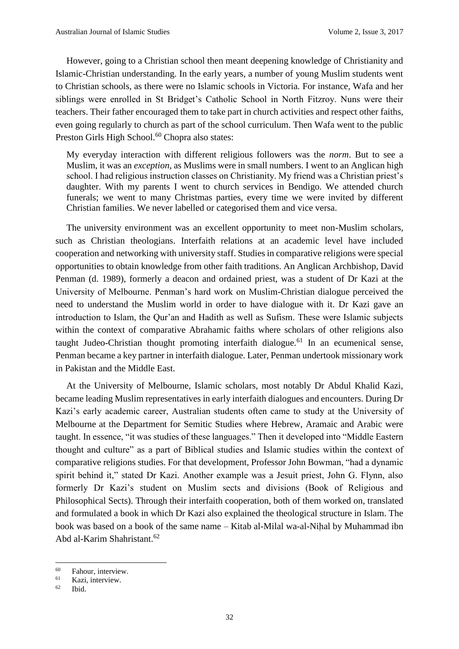However, going to a Christian school then meant deepening knowledge of Christianity and Islamic-Christian understanding. In the early years, a number of young Muslim students went to Christian schools, as there were no Islamic schools in Victoria. For instance, Wafa and her siblings were enrolled in St Bridget's Catholic School in North Fitzroy. Nuns were their teachers. Their father encouraged them to take part in church activities and respect other faiths, even going regularly to church as part of the school curriculum. Then Wafa went to the public Preston Girls High School.<sup>60</sup> Chopra also states:

My everyday interaction with different religious followers was the *norm*. But to see a Muslim, it was an *exception*, as Muslims were in small numbers. I went to an Anglican high school. I had religious instruction classes on Christianity. My friend was a Christian priest's daughter. With my parents I went to church services in Bendigo. We attended church funerals; we went to many Christmas parties, every time we were invited by different Christian families. We never labelled or categorised them and vice versa.

The university environment was an excellent opportunity to meet non-Muslim scholars, such as Christian theologians. Interfaith relations at an academic level have included cooperation and networking with university staff. Studies in comparative religions were special opportunities to obtain knowledge from other faith traditions. An Anglican Archbishop, David Penman (d. 1989), formerly a deacon and ordained priest, was a student of Dr Kazi at the University of Melbourne. Penman's hard work on Muslim-Christian dialogue perceived the need to understand the Muslim world in order to have dialogue with it. Dr Kazi gave an introduction to Islam, the Qur'an and Hadith as well as Sufism. These were Islamic subjects within the context of comparative Abrahamic faiths where scholars of other religions also taught Judeo-Christian thought promoting interfaith dialogue.<sup>61</sup> In an ecumenical sense, Penman became a key partner in interfaith dialogue. Later, Penman undertook missionary work in Pakistan and the Middle East.

At the University of Melbourne, Islamic scholars, most notably Dr Abdul Khalid Kazi, became leading Muslim representatives in early interfaith dialogues and encounters. During Dr Kazi's early academic career, Australian students often came to study at the University of Melbourne at the Department for Semitic Studies where Hebrew, Aramaic and Arabic were taught. In essence, "it was studies of these languages." Then it developed into "Middle Eastern thought and culture" as a part of Biblical studies and Islamic studies within the context of comparative religions studies. For that development, Professor John Bowman, "had a dynamic spirit behind it," stated Dr Kazi. Another example was a Jesuit priest, John G. Flynn, also formerly Dr Kazi's student on Muslim sects and divisions (Book of Religious and Philosophical Sects). Through their interfaith cooperation, both of them worked on, translated and formulated a book in which Dr Kazi also explained the theological structure in Islam. The book was based on a book of the same name – Kitab al-Milal wa-al-Nih*̣*al by Muhammad ibn Abd al-Karim Shahristant.<sup>62</sup>

<sup>60</sup>  $^{60}$  Fahour, interview.

Kazi, interview.

 $62$  Ibid.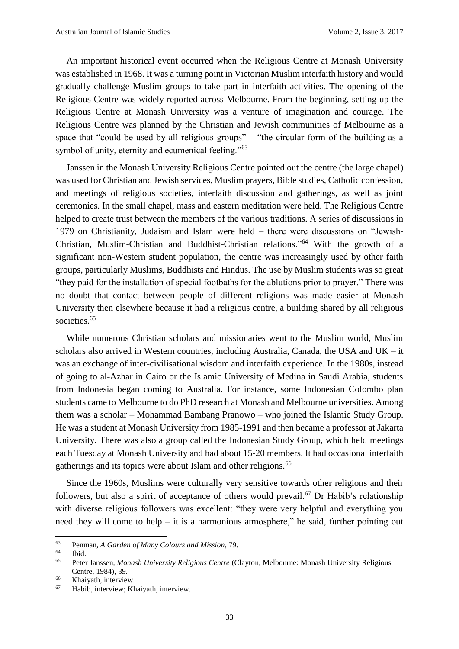An important historical event occurred when the Religious Centre at Monash University was established in 1968. It was a turning point in Victorian Muslim interfaith history and would gradually challenge Muslim groups to take part in interfaith activities. The opening of the Religious Centre was widely reported across Melbourne. From the beginning, setting up the Religious Centre at Monash University was a venture of imagination and courage. The Religious Centre was planned by the Christian and Jewish communities of Melbourne as a space that "could be used by all religious groups" – "the circular form of the building as a symbol of unity, eternity and ecumenical feeling."<sup>63</sup>

Janssen in the Monash University Religious Centre pointed out the centre (the large chapel) was used for Christian and Jewish services, Muslim prayers, Bible studies, Catholic confession, and meetings of religious societies, interfaith discussion and gatherings, as well as joint ceremonies. In the small chapel, mass and eastern meditation were held. The Religious Centre helped to create trust between the members of the various traditions. A series of discussions in 1979 on Christianity, Judaism and Islam were held – there were discussions on "Jewish-Christian, Muslim-Christian and Buddhist-Christian relations."<sup>64</sup> With the growth of a significant non-Western student population, the centre was increasingly used by other faith groups, particularly Muslims, Buddhists and Hindus. The use by Muslim students was so great "they paid for the installation of special footbaths for the ablutions prior to prayer." There was no doubt that contact between people of different religions was made easier at Monash University then elsewhere because it had a religious centre, a building shared by all religious societies.<sup>65</sup>

While numerous Christian scholars and missionaries went to the Muslim world, Muslim scholars also arrived in Western countries, including Australia, Canada, the USA and UK – it was an exchange of inter-civilisational wisdom and interfaith experience. In the 1980s, instead of going to al-Azhar in Cairo or the Islamic University of Medina in Saudi Arabia, students from Indonesia began coming to Australia. For instance, some Indonesian Colombo plan students came to Melbourne to do PhD research at Monash and Melbourne universities. Among them was a scholar – Mohammad Bambang Pranowo – who joined the Islamic Study Group. He was a student at Monash University from 1985-1991 and then became a professor at Jakarta University. There was also a group called the Indonesian Study Group, which held meetings each Tuesday at Monash University and had about 15-20 members. It had occasional interfaith gatherings and its topics were about Islam and other religions.<sup>66</sup>

Since the 1960s, Muslims were culturally very sensitive towards other religions and their followers, but also a spirit of acceptance of others would prevail.<sup>67</sup> Dr Habib's relationship with diverse religious followers was excellent: "they were very helpful and everything you need they will come to help – it is a harmonious atmosphere," he said, further pointing out

<sup>63</sup> <sup>63</sup> Penman, *A Garden of Many Colours and Mission*, 79.

 $\begin{array}{cc}\n 64 \\
 \hline\n 65\n \end{array}$  Ibid.

<sup>65</sup> Peter Janssen, *Monash University Religious Centre* (Clayton, Melbourne: Monash University Religious Centre, 1984), 39.

<sup>&</sup>lt;sup>66</sup> Khaiyath, interview.

<sup>67</sup> Habib, interview; Khaiyath, interview.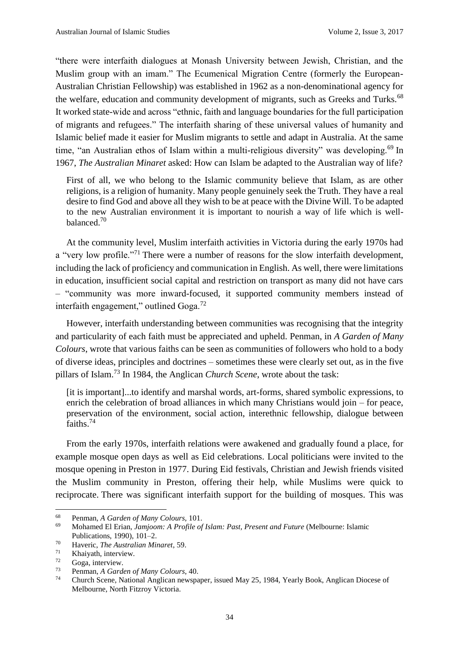"there were interfaith dialogues at Monash University between Jewish, Christian, and the Muslim group with an imam." The Ecumenical Migration Centre (formerly the European-Australian Christian Fellowship) was established in 1962 as a non-denominational agency for the welfare, education and community development of migrants, such as Greeks and Turks.<sup>68</sup> It worked state-wide and across "ethnic, faith and language boundaries for the full participation of migrants and refugees." The interfaith sharing of these universal values of humanity and Islamic belief made it easier for Muslim migrants to settle and adapt in Australia. At the same time, "an Australian ethos of Islam within a multi-religious diversity" was developing.<sup>69</sup> In 1967, *The Australian Minaret* asked: How can Islam be adapted to the Australian way of life?

First of all, we who belong to the Islamic community believe that Islam, as are other religions, is a religion of humanity. Many people genuinely seek the Truth. They have a real desire to find God and above all they wish to be at peace with the Divine Will. To be adapted to the new Australian environment it is important to nourish a way of life which is wellbalanced.<sup>70</sup>

At the community level, Muslim interfaith activities in Victoria during the early 1970s had a "very low profile."<sup>71</sup> There were a number of reasons for the slow interfaith development, including the lack of proficiency and communication in English. As well, there were limitations in education, insufficient social capital and restriction on transport as many did not have cars – "community was more inward-focused, it supported community members instead of interfaith engagement," outlined Goga.<sup>72</sup>

However, interfaith understanding between communities was recognising that the integrity and particularity of each faith must be appreciated and upheld. Penman, in *A Garden of Many Colours*, wrote that various faiths can be seen as communities of followers who hold to a body of diverse ideas, principles and doctrines – sometimes these were clearly set out, as in the five pillars of Islam.<sup>73</sup> In 1984, the Anglican *Church Scene*, wrote about the task:

[it is important]...to identify and marshal words, art-forms, shared symbolic expressions, to enrich the celebration of broad alliances in which many Christians would join – for peace, preservation of the environment, social action, interethnic fellowship, dialogue between faiths.<sup>74</sup>

From the early 1970s, interfaith relations were awakened and gradually found a place, for example mosque open days as well as Eid celebrations. Local politicians were invited to the mosque opening in Preston in 1977. During Eid festivals, Christian and Jewish friends visited the Muslim community in Preston, offering their help, while Muslims were quick to reciprocate. There was significant interfaith support for the building of mosques. This was

 $\overline{a}$ 

<sup>68</sup> Penman, *A Garden of Many Colours*, 101.

<sup>69</sup> Mohamed El Erian, *Jamjoom: A Profile of Islam: Past, Present and Future* (Melbourne: Islamic Publications, 1990), 101–2.

<sup>70</sup> Haveric, *The Australian Minaret*, 59.

 $\frac{71}{72}$  Khaiyath, interview.

 $^{72}$  Goga, interview.

<sup>73</sup> Penman, *A Garden of Many Colours*, 40.

<sup>74</sup> Church Scene, National Anglican newspaper, issued May 25, 1984, Yearly Book, Anglican Diocese of Melbourne, North Fitzroy Victoria.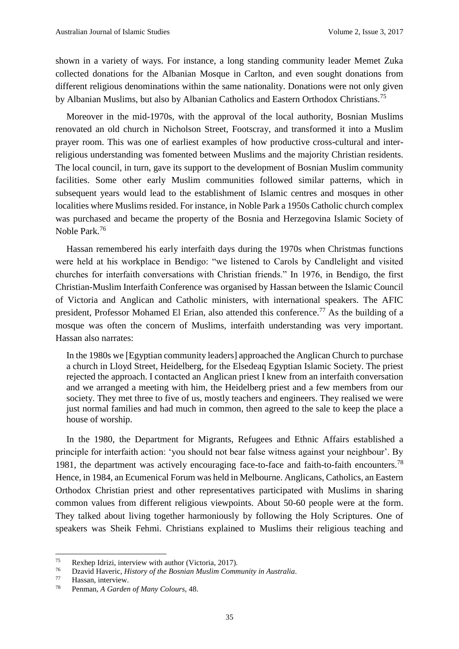shown in a variety of ways. For instance, a long standing community leader Memet Zuka collected donations for the Albanian Mosque in Carlton, and even sought donations from different religious denominations within the same nationality. Donations were not only given by Albanian Muslims, but also by Albanian Catholics and Eastern Orthodox Christians.<sup>75</sup>

Moreover in the mid-1970s, with the approval of the local authority, Bosnian Muslims renovated an old church in Nicholson Street, Footscray, and transformed it into a Muslim prayer room. This was one of earliest examples of how productive cross-cultural and interreligious understanding was fomented between Muslims and the majority Christian residents. The local council, in turn, gave its support to the development of Bosnian Muslim community facilities. Some other early Muslim communities followed similar patterns, which in subsequent years would lead to the establishment of Islamic centres and mosques in other localities where Muslims resided. For instance, in Noble Park a 1950s Catholic church complex was purchased and became the property of the Bosnia and Herzegovina Islamic Society of Noble Park. 76

Hassan remembered his early interfaith days during the 1970s when Christmas functions were held at his workplace in Bendigo: "we listened to Carols by Candlelight and visited churches for interfaith conversations with Christian friends." In 1976, in Bendigo, the first Christian-Muslim Interfaith Conference was organised by Hassan between the Islamic Council of Victoria and Anglican and Catholic ministers, with international speakers. The AFIC president, Professor Mohamed El Erian, also attended this conference.<sup>77</sup> As the building of a mosque was often the concern of Muslims, interfaith understanding was very important. Hassan also narrates:

In the 1980s we [Egyptian community leaders] approached the Anglican Church to purchase a church in Lloyd Street, Heidelberg, for the Elsedeaq Egyptian Islamic Society. The priest rejected the approach. I contacted an Anglican priest I knew from an interfaith conversation and we arranged a meeting with him, the Heidelberg priest and a few members from our society. They met three to five of us, mostly teachers and engineers. They realised we were just normal families and had much in common, then agreed to the sale to keep the place a house of worship.

In the 1980, the Department for Migrants, Refugees and Ethnic Affairs established a principle for interfaith action: 'you should not bear false witness against your neighbour'. By 1981, the department was actively encouraging face-to-face and faith-to-faith encounters.<sup>78</sup> Hence, in 1984, an Ecumenical Forum was held in Melbourne. Anglicans, Catholics, an Eastern Orthodox Christian priest and other representatives participated with Muslims in sharing common values from different religious viewpoints. About 50-60 people were at the form. They talked about living together harmoniously by following the Holy Scriptures. One of speakers was Sheik Fehmi. Christians explained to Muslims their religious teaching and

 $75$ <sup>75</sup> Rexhep Idrizi, interview with author (Victoria, 2017).<br>
<sup>76</sup> Dzavid Hayeric, History of the Bosnian Muslim Comp

<sup>76</sup> Dzavid Haveric, *History of the Bosnian Muslim Community in Australia*.

Hassan, interview.

<sup>78</sup> Penman, *A Garden of Many Colours*, 48.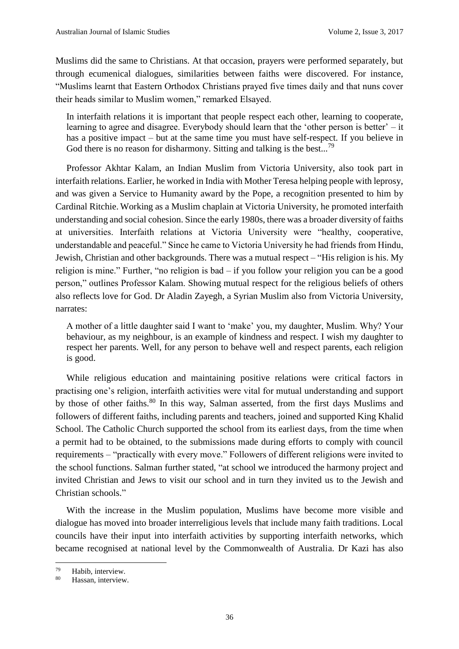Muslims did the same to Christians. At that occasion, prayers were performed separately, but through ecumenical dialogues, similarities between faiths were discovered. For instance, "Muslims learnt that Eastern Orthodox Christians prayed five times daily and that nuns cover their heads similar to Muslim women," remarked Elsayed.

In interfaith relations it is important that people respect each other, learning to cooperate, learning to agree and disagree. Everybody should learn that the 'other person is better' – it has a positive impact – but at the same time you must have self-respect. If you believe in God there is no reason for disharmony. Sitting and talking is the best...<sup>79</sup>

Professor Akhtar Kalam, an Indian Muslim from Victoria University, also took part in interfaith relations. Earlier, he worked in India with Mother Teresa helping people with leprosy, and was given a Service to Humanity award by the Pope, a recognition presented to him by Cardinal Ritchie. Working as a Muslim chaplain at Victoria University, he promoted interfaith understanding and social cohesion. Since the early 1980s, there was a broader diversity of faiths at universities. Interfaith relations at Victoria University were "healthy, cooperative, understandable and peaceful." Since he came to Victoria University he had friends from Hindu, Jewish, Christian and other backgrounds. There was a mutual respect – "His religion is his. My religion is mine." Further, "no religion is bad – if you follow your religion you can be a good person," outlines Professor Kalam. Showing mutual respect for the religious beliefs of others also reflects love for God. Dr Aladin Zayegh, a Syrian Muslim also from Victoria University, narrates:

A mother of a little daughter said I want to 'make' you, my daughter, Muslim. Why? Your behaviour, as my neighbour, is an example of kindness and respect. I wish my daughter to respect her parents. Well, for any person to behave well and respect parents, each religion is good.

While religious education and maintaining positive relations were critical factors in practising one's religion, interfaith activities were vital for mutual understanding and support by those of other faiths.<sup>80</sup> In this way, Salman asserted, from the first days Muslims and followers of different faiths, including parents and teachers, joined and supported King Khalid School. The Catholic Church supported the school from its earliest days, from the time when a permit had to be obtained, to the submissions made during efforts to comply with council requirements – "practically with every move." Followers of different religions were invited to the school functions. Salman further stated, "at school we introduced the harmony project and invited Christian and Jews to visit our school and in turn they invited us to the Jewish and Christian schools."

With the increase in the Muslim population, Muslims have become more visible and dialogue has moved into broader interreligious levels that include many faith traditions. Local councils have their input into interfaith activities by supporting interfaith networks, which became recognised at national level by the Commonwealth of Australia. Dr Kazi has also

<sup>79</sup>  $^{79}$  Habib, interview.

Hassan, interview.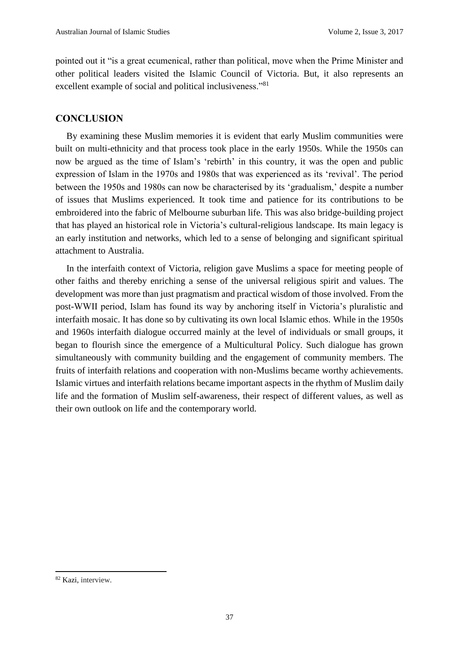pointed out it "is a great ecumenical, rather than political, move when the Prime Minister and other political leaders visited the Islamic Council of Victoria. But, it also represents an excellent example of social and political inclusiveness."<sup>81</sup>

#### **CONCLUSION**

By examining these Muslim memories it is evident that early Muslim communities were built on multi-ethnicity and that process took place in the early 1950s. While the 1950s can now be argued as the time of Islam's 'rebirth' in this country, it was the open and public expression of Islam in the 1970s and 1980s that was experienced as its 'revival'. The period between the 1950s and 1980s can now be characterised by its 'gradualism,' despite a number of issues that Muslims experienced. It took time and patience for its contributions to be embroidered into the fabric of Melbourne suburban life. This was also bridge-building project that has played an historical role in Victoria's cultural-religious landscape. Its main legacy is an early institution and networks, which led to a sense of belonging and significant spiritual attachment to Australia.

In the interfaith context of Victoria, religion gave Muslims a space for meeting people of other faiths and thereby enriching a sense of the universal religious spirit and values. The development was more than just pragmatism and practical wisdom of those involved. From the post-WWII period, Islam has found its way by anchoring itself in Victoria's pluralistic and interfaith mosaic. It has done so by cultivating its own local Islamic ethos. While in the 1950s and 1960s interfaith dialogue occurred mainly at the level of individuals or small groups, it began to flourish since the emergence of a Multicultural Policy. Such dialogue has grown simultaneously with community building and the engagement of community members. The fruits of interfaith relations and cooperation with non-Muslims became worthy achievements. Islamic virtues and interfaith relations became important aspects in the rhythm of Muslim daily life and the formation of Muslim self-awareness, their respect of different values, as well as their own outlook on life and the contemporary world.

<sup>82</sup> Kazi, interview.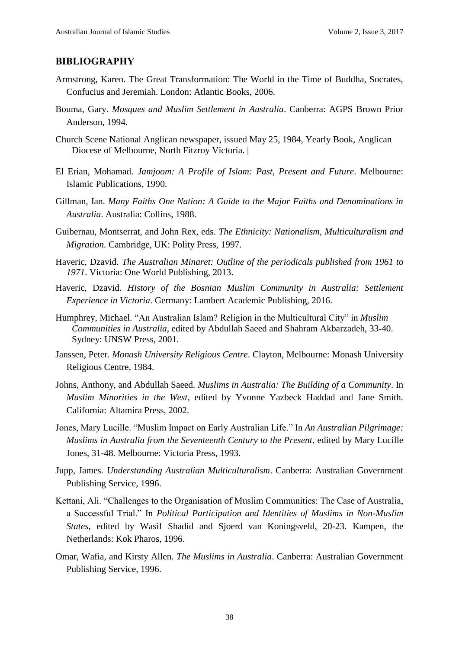### **BIBLIOGRAPHY**

- Armstrong, Karen. The Great Transformation: The World in the Time of Buddha, Socrates, Confucius and Jeremiah. London: Atlantic Books, 2006.
- Bouma, Gary. *Mosques and Muslim Settlement in Australia*. Canberra: AGPS Brown Prior Anderson, 1994.
- Church Scene National Anglican newspaper, issued May 25, 1984, Yearly Book, Anglican Diocese of Melbourne, North Fitzroy Victoria. |
- El Erian, Mohamad. *Jamjoom: A Profile of Islam: Past, Present and Future*. Melbourne: Islamic Publications, 1990.
- Gillman, Ian. *Many Faiths One Nation: A Guide to the Major Faiths and Denominations in Australia*. Australia: Collins, 1988.
- Guibernau, Montserrat, and John Rex, eds. *The Ethnicity: Nationalism, Multiculturalism and Migration.* Cambridge, UK: Polity Press, 1997.
- Haveric, Dzavid. *The Australian Minaret: Outline of the periodicals published from 1961 to 1971*. Victoria: One World Publishing, 2013.
- Haveric, Dzavid. *History of the Bosnian Muslim Community in Australia: Settlement Experience in Victoria*. Germany: Lambert Academic Publishing, 2016.
- Humphrey, Michael. "An Australian Islam? Religion in the Multicultural City" in *Muslim Communities in Australia*, edited by Abdullah Saeed and Shahram Akbarzadeh, 33-40. Sydney: UNSW Press, 2001.
- Janssen, Peter. *Monash University Religious Centre*. Clayton, Melbourne: Monash University Religious Centre, 1984.
- Johns, Anthony, and Abdullah Saeed*. Muslims in Australia: The Building of a Community*. In *Muslim Minorities in the West*, edited by Yvonne Yazbeck Haddad and Jane Smith. California: Altamira Press, 2002.
- Jones, Mary Lucille. "Muslim Impact on Early Australian Life." In *An Australian Pilgrimage: Muslims in Australia from the Seventeenth Century to the Present*, edited by Mary Lucille Jones, 31-48. Melbourne: Victoria Press, 1993.
- Jupp, James. *Understanding Australian Multiculturalism*. Canberra: Australian Government Publishing Service, 1996.
- Kettani, Ali. "Challenges to the Organisation of Muslim Communities: The Case of Australia, a Successful Trial." In *Political Participation and Identities of Muslims in Non-Muslim States*, edited by Wasif Shadid and Sjoerd van Koningsveld, 20-23. Kampen, the Netherlands: Kok Pharos, 1996.
- Omar, Wafia, and Kirsty Allen. *The Muslims in Australia*. Canberra: Australian Government Publishing Service, 1996.